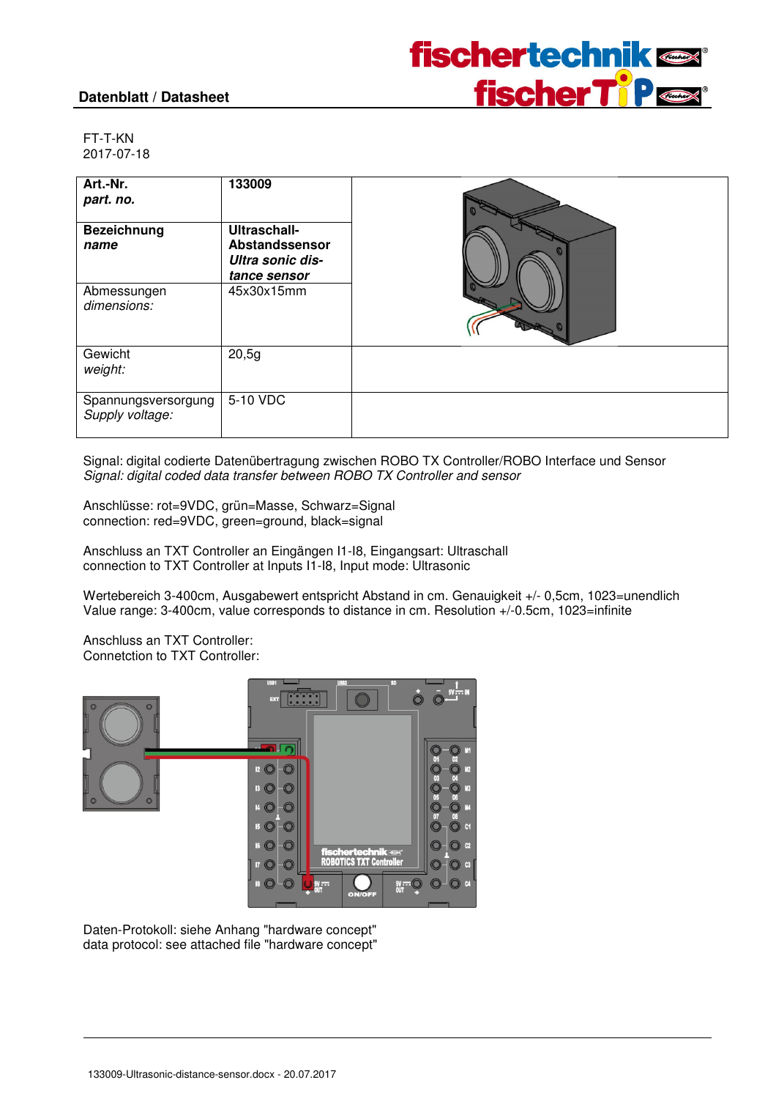#### **Datenblatt / Datasheet**



FT-T-KN 2017-07-18

| Art.-Nr.<br>part. no.<br><b>Bezeichnung</b><br>name | 133009<br><b>Ultraschall-</b><br>Abstandssensor<br>Ultra sonic dis-<br>tance sensor |  |
|-----------------------------------------------------|-------------------------------------------------------------------------------------|--|
| Abmessungen<br>dimensions:                          | 45x30x15mm                                                                          |  |
| Gewicht<br>weight:                                  | 20,5g                                                                               |  |
| Spannungsversorgung<br>Supply voltage:              | 5-10 VDC                                                                            |  |

Signal: digital codierte Datenübertragung zwischen ROBO TX Controller/ROBO Interface und Sensor Signal: digital coded data transfer between ROBO TX Controller and sensor

Anschlüsse: rot=9VDC, grün=Masse, Schwarz=Signal connection: red=9VDC, green=ground, black=signal

Anschluss an TXT Controller an Eingängen I1-I8, Eingangsart: Ultraschall connection to TXT Controller at Inputs I1-I8, Input mode: Ultrasonic

Wertebereich 3-400cm, Ausgabewert entspricht Abstand in cm. Genauigkeit +/- 0,5cm, 1023=unendlich Value range: 3-400cm, value corresponds to distance in cm. Resolution +/-0.5cm, 1023=infinite

Anschluss an TXT Controller: Connetction to TXT Controller:



Daten-Protokoll: siehe Anhang "hardware concept" data protocol: see attached file "hardware concept"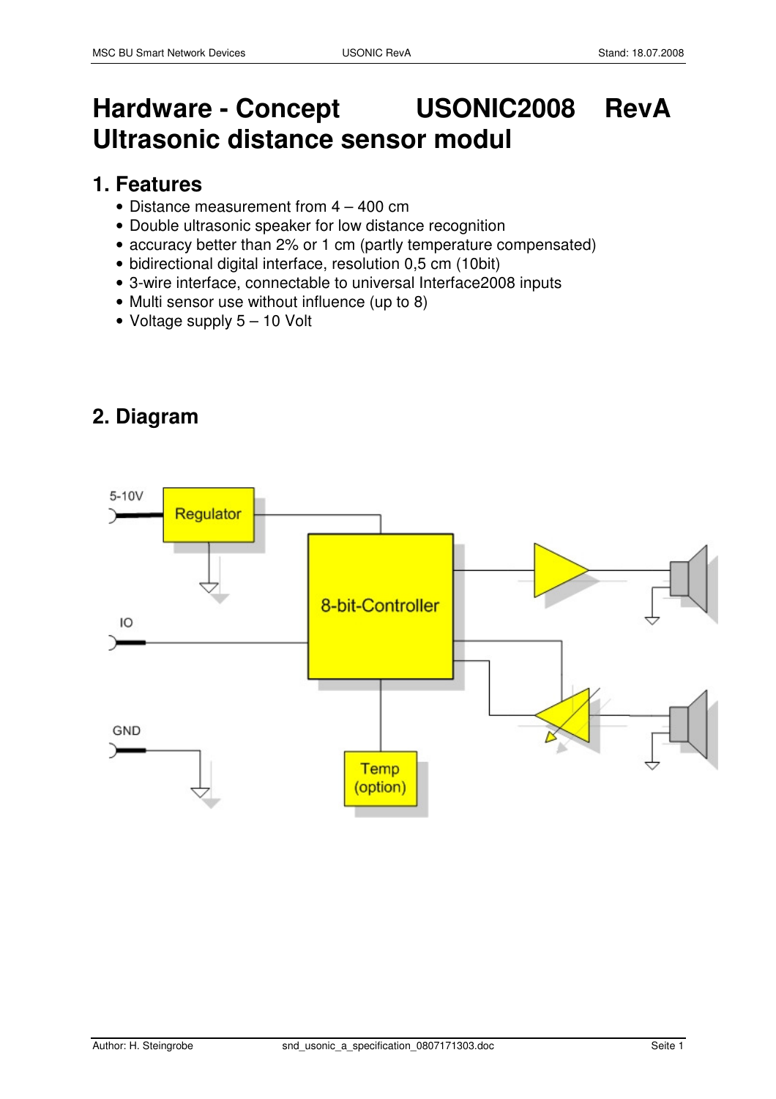# **Hardware - Concept USONIC2008 RevA Ultrasonic distance sensor modul**

### **1. Features**

- Distance measurement from 4 400 cm
- Double ultrasonic speaker for low distance recognition
- accuracy better than 2% or 1 cm (partly temperature compensated)
- bidirectional digital interface, resolution 0,5 cm (10bit)
- 3-wire interface, connectable to universal Interface2008 inputs
- Multi sensor use without influence (up to 8)
- Voltage supply 5 10 Volt

### **2. Diagram**

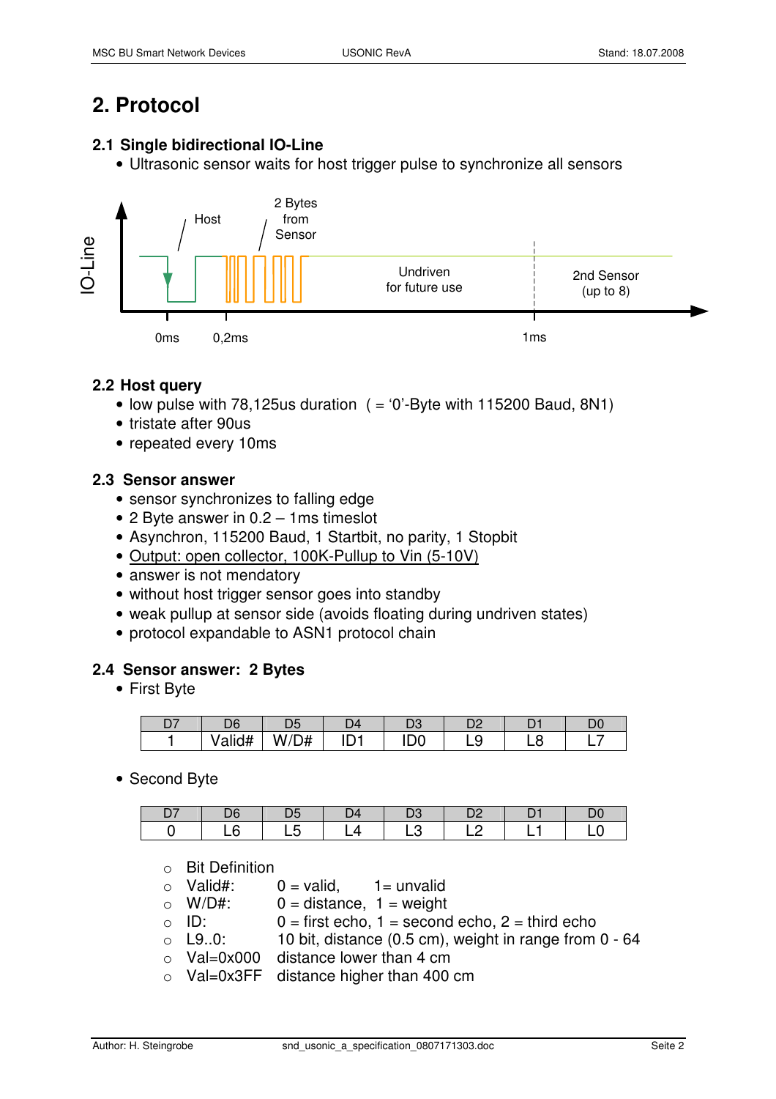## **2. Protocol**

#### **2.1 Single bidirectional IO-Line**

• Ultrasonic sensor waits for host trigger pulse to synchronize all sensors



#### **2.2 Host query**

- low pulse with 78,125 us duration  $($  = '0'-Byte with 115200 Baud, 8N1)
- tristate after 90us
- repeated every 10ms

#### **2.3 Sensor answer**

- sensor synchronizes to falling edge
- 2 Byte answer in 0.2 1ms timeslot
- Asynchron, 115200 Baud, 1 Startbit, no parity, 1 Stopbit
- Output: open collector, 100K-Pullup to Vin (5-10V)
- answer is not mendatory
- without host trigger sensor goes into standby
- weak pullup at sensor side (avoids floating during undriven states)
- protocol expandable to ASN1 protocol chain

#### **2.4 Sensor answer: 2 Bytes**

• First Byte

| r, | D6                |         | D4 | ◡      |  | D( |
|----|-------------------|---------|----|--------|--|----|
|    | <br>-177<br>alid# | .<br>דו |    | н<br>◡ |  |    |

• Second Byte

|  | Λ |  |  |
|--|---|--|--|

o Bit Definition

| $\circ$ | Valid#: | $0 =$ valid, | $1 =$ unvalid |
|---------|---------|--------------|---------------|
|         |         |              |               |

- $\circ$  W/D#:  $0 =$  distance, 1 = weight
- $\circ$  ID: 0 = first echo, 1 = second echo, 2 = third echo
- $\circ$  L9..0: 10 bit, distance (0.5 cm), weight in range from 0 64
- $\circ$  Val=0x000 distance lower than 4 cm
- o Val=0x3FF distance higher than 400 cm